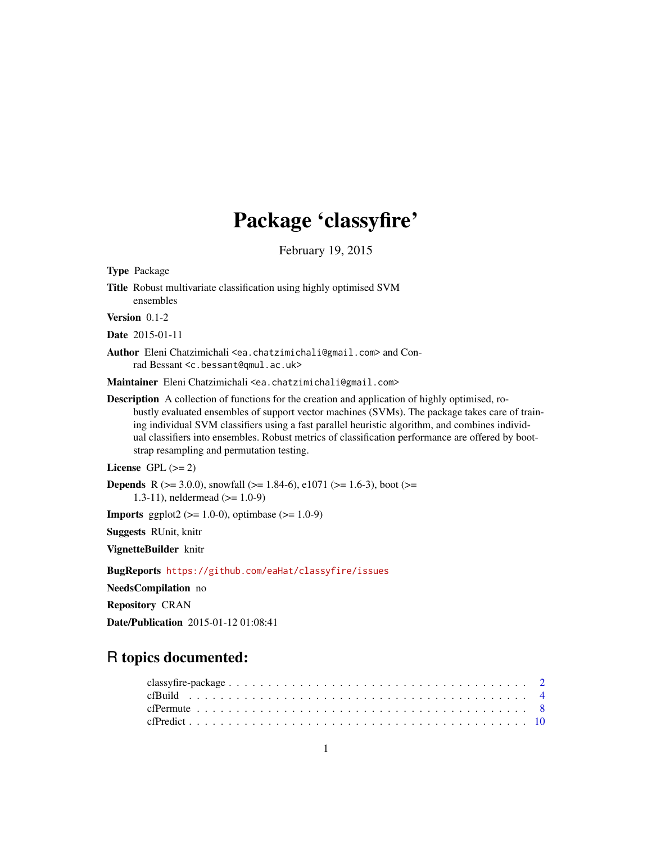# Package 'classyfire'

February 19, 2015

| Title Robust multivariate classification using highly optimised SVM<br>ensembles                                                                                                                                                                                                                                                                                                                                                                              |
|---------------------------------------------------------------------------------------------------------------------------------------------------------------------------------------------------------------------------------------------------------------------------------------------------------------------------------------------------------------------------------------------------------------------------------------------------------------|
| Version 0.1-2                                                                                                                                                                                                                                                                                                                                                                                                                                                 |
| <b>Date</b> 2015-01-11                                                                                                                                                                                                                                                                                                                                                                                                                                        |
| Author Eleni Chatzimichali <ea.chatzimichali@gmail.com> and Con-<br/>rad Bessant <c.bessant@qmul.ac.uk></c.bessant@qmul.ac.uk></ea.chatzimichali@gmail.com>                                                                                                                                                                                                                                                                                                   |
| Maintainer Eleni Chatzimichali <ea.chatzimichali@gmail.com></ea.chatzimichali@gmail.com>                                                                                                                                                                                                                                                                                                                                                                      |
| <b>Description</b> A collection of functions for the creation and application of highly optimised, ro-<br>bustly evaluated ensembles of support vector machines (SVMs). The package takes care of train-<br>ing individual SVM classifiers using a fast parallel heuristic algorithm, and combines individ-<br>ual classifiers into ensembles. Robust metrics of classification performance are offered by boot-<br>strap resampling and permutation testing. |
| License GPL $(>= 2)$                                                                                                                                                                                                                                                                                                                                                                                                                                          |
| <b>Depends</b> R ( $>$ = 3.0.0), snowfall ( $>$ = 1.84-6), e1071 ( $>$ = 1.6-3), boot ( $>$ =<br>1.3-11), neldermead $(>= 1.0-9)$                                                                                                                                                                                                                                                                                                                             |
| <b>Imports</b> ggplot2 ( $>= 1.0-0$ ), optimbase ( $>= 1.0-9$ )                                                                                                                                                                                                                                                                                                                                                                                               |
| <b>Suggests RUnit, knitr</b>                                                                                                                                                                                                                                                                                                                                                                                                                                  |
| VignetteBuilder knitr                                                                                                                                                                                                                                                                                                                                                                                                                                         |
| <b>BugReports https://github.com/eaHat/classyfire/issues</b>                                                                                                                                                                                                                                                                                                                                                                                                  |
| NeedsCompilation no                                                                                                                                                                                                                                                                                                                                                                                                                                           |
| <b>Repository CRAN</b>                                                                                                                                                                                                                                                                                                                                                                                                                                        |
| <b>Date/Publication</b> 2015-01-12 01:08:41                                                                                                                                                                                                                                                                                                                                                                                                                   |
|                                                                                                                                                                                                                                                                                                                                                                                                                                                               |

# R topics documented:

<span id="page-0-0"></span>Type Package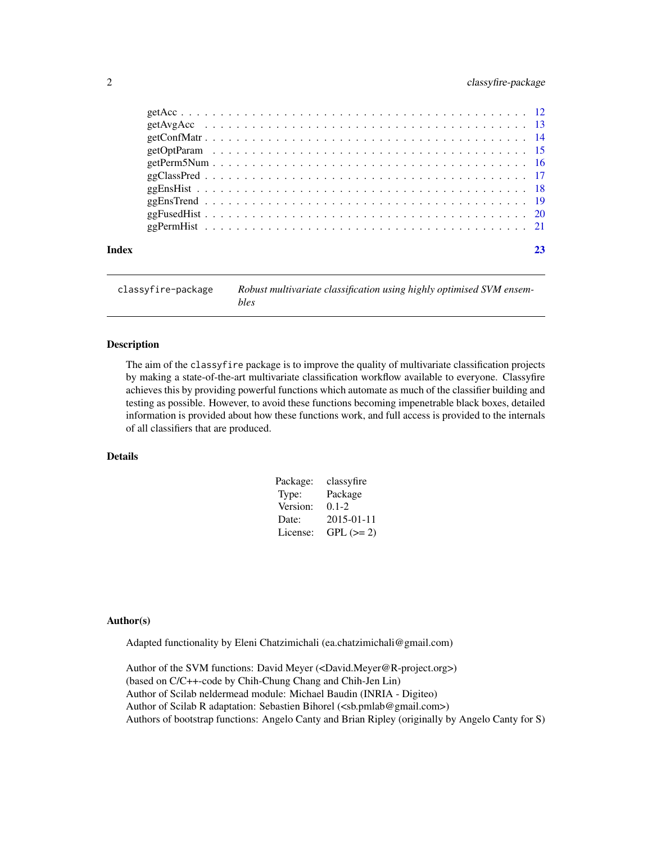# <span id="page-1-0"></span>2 classyfire-package

| Index |  |
|-------|--|
|       |  |
|       |  |
|       |  |
|       |  |
|       |  |
|       |  |
|       |  |
|       |  |
|       |  |
|       |  |

classyfire-package *Robust multivariate classification using highly optimised SVM ensembles*

# Description

The aim of the classyfire package is to improve the quality of multivariate classification projects by making a state-of-the-art multivariate classification workflow available to everyone. Classyfire achieves this by providing powerful functions which automate as much of the classifier building and testing as possible. However, to avoid these functions becoming impenetrable black boxes, detailed information is provided about how these functions work, and full access is provided to the internals of all classifiers that are produced.

# Details

| Package: | classyfire |
|----------|------------|
| Type:    | Package    |
| Version: | $0.1 - 2$  |
| Date:    | 2015-01-11 |
| License: | $GPL (=2)$ |

#### Author(s)

Adapted functionality by Eleni Chatzimichali (ea.chatzimichali@gmail.com)

Author of the SVM functions: David Meyer (<David.Meyer@R-project.org>) (based on C/C++-code by Chih-Chung Chang and Chih-Jen Lin) Author of Scilab neldermead module: Michael Baudin (INRIA - Digiteo) Author of Scilab R adaptation: Sebastien Bihorel (<sb.pmlab@gmail.com>) Authors of bootstrap functions: Angelo Canty and Brian Ripley (originally by Angelo Canty for S)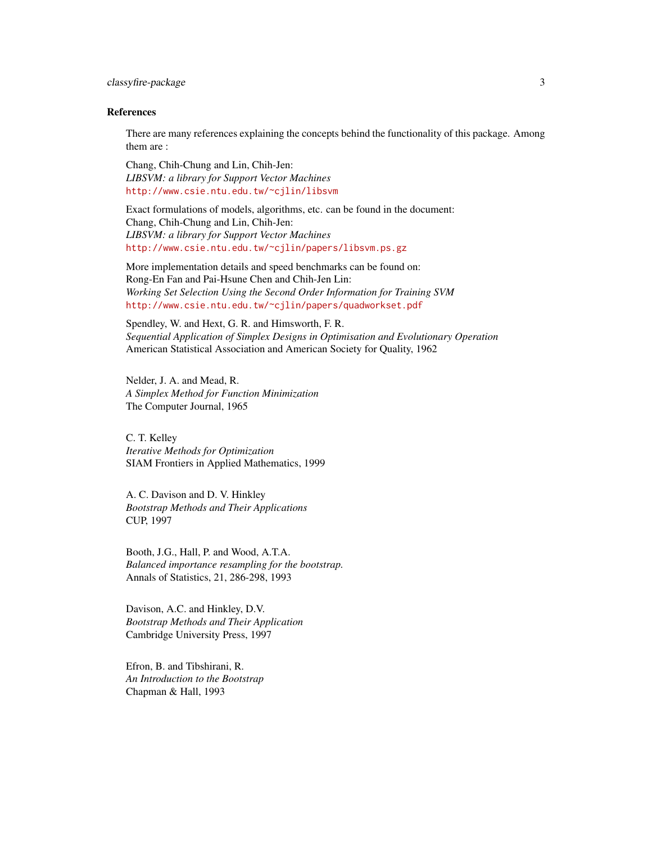# classyfire-package 3

#### References

There are many references explaining the concepts behind the functionality of this package. Among them are :

Chang, Chih-Chung and Lin, Chih-Jen: *LIBSVM: a library for Support Vector Machines* <http://www.csie.ntu.edu.tw/~cjlin/libsvm>

Exact formulations of models, algorithms, etc. can be found in the document: Chang, Chih-Chung and Lin, Chih-Jen: *LIBSVM: a library for Support Vector Machines* <http://www.csie.ntu.edu.tw/~cjlin/papers/libsvm.ps.gz>

More implementation details and speed benchmarks can be found on: Rong-En Fan and Pai-Hsune Chen and Chih-Jen Lin: *Working Set Selection Using the Second Order Information for Training SVM* <http://www.csie.ntu.edu.tw/~cjlin/papers/quadworkset.pdf>

Spendley, W. and Hext, G. R. and Himsworth, F. R. *Sequential Application of Simplex Designs in Optimisation and Evolutionary Operation* American Statistical Association and American Society for Quality, 1962

Nelder, J. A. and Mead, R. *A Simplex Method for Function Minimization* The Computer Journal, 1965

C. T. Kelley *Iterative Methods for Optimization* SIAM Frontiers in Applied Mathematics, 1999

A. C. Davison and D. V. Hinkley *Bootstrap Methods and Their Applications* CUP, 1997

Booth, J.G., Hall, P. and Wood, A.T.A. *Balanced importance resampling for the bootstrap.* Annals of Statistics, 21, 286-298, 1993

Davison, A.C. and Hinkley, D.V. *Bootstrap Methods and Their Application* Cambridge University Press, 1997

Efron, B. and Tibshirani, R. *An Introduction to the Bootstrap* Chapman & Hall, 1993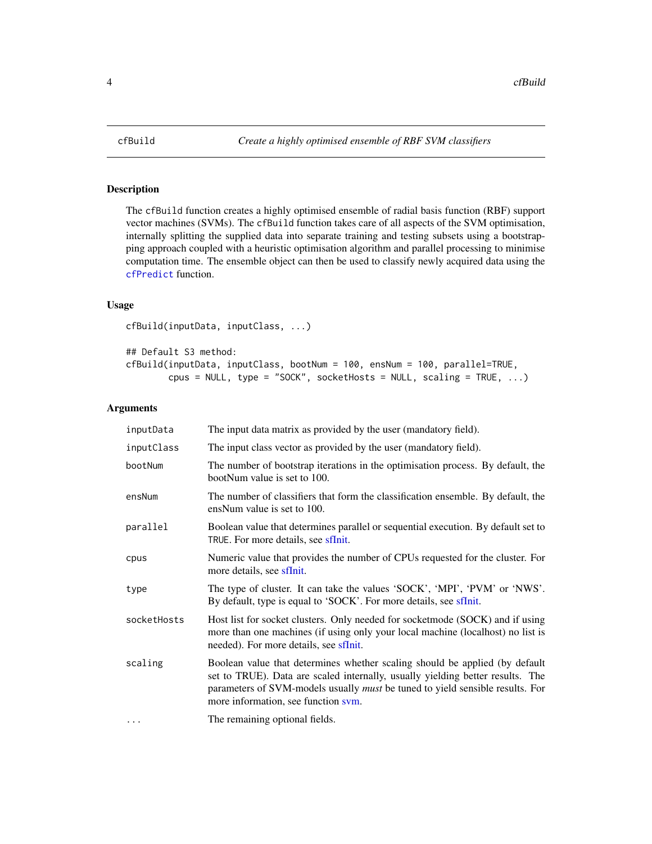<span id="page-3-1"></span><span id="page-3-0"></span>

The cfBuild function creates a highly optimised ensemble of radial basis function (RBF) support vector machines (SVMs). The cfBuild function takes care of all aspects of the SVM optimisation, internally splitting the supplied data into separate training and testing subsets using a bootstrapping approach coupled with a heuristic optimisation algorithm and parallel processing to minimise computation time. The ensemble object can then be used to classify newly acquired data using the [cfPredict](#page-9-1) function.

# Usage

cfBuild(inputData, inputClass, ...)

## Default S3 method:

cfBuild(inputData, inputClass, bootNum = 100, ensNum = 100, parallel=TRUE, cpus = NULL, type = "SOCK", socketHosts = NULL, scaling = TRUE,  $\ldots$ )

#### Arguments

| inputData   | The input data matrix as provided by the user (mandatory field).                                                                                                                                                                                                                             |
|-------------|----------------------------------------------------------------------------------------------------------------------------------------------------------------------------------------------------------------------------------------------------------------------------------------------|
| inputClass  | The input class vector as provided by the user (mandatory field).                                                                                                                                                                                                                            |
| bootNum     | The number of bootstrap iterations in the optimisation process. By default, the<br>bootNum value is set to 100.                                                                                                                                                                              |
| ensNum      | The number of classifiers that form the classification ensemble. By default, the<br>ensNum value is set to 100.                                                                                                                                                                              |
| parallel    | Boolean value that determines parallel or sequential execution. By default set to<br>TRUE. For more details, see sfInit.                                                                                                                                                                     |
| cpus        | Numeric value that provides the number of CPUs requested for the cluster. For<br>more details, see sfInit.                                                                                                                                                                                   |
| type        | The type of cluster. It can take the values 'SOCK', 'MPI', 'PVM' or 'NWS'.<br>By default, type is equal to 'SOCK'. For more details, see sflnit.                                                                                                                                             |
| socketHosts | Host list for socket clusters. Only needed for socketmode (SOCK) and if using<br>more than one machines (if using only your local machine (localhost) no list is<br>needed). For more details, see sfInit.                                                                                   |
| scaling     | Boolean value that determines whether scaling should be applied (by default<br>set to TRUE). Data are scaled internally, usually yielding better results. The<br>parameters of SVM-models usually <i>must</i> be tuned to yield sensible results. For<br>more information, see function sym. |
| .           | The remaining optional fields.                                                                                                                                                                                                                                                               |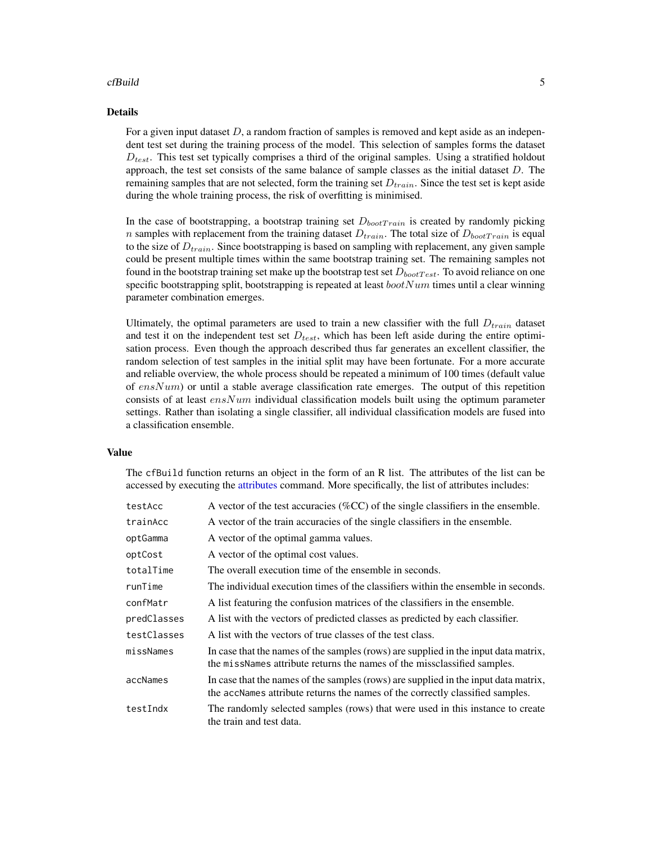#### <span id="page-4-0"></span>cfBuild 5

#### Details

For a given input dataset  $D$ , a random fraction of samples is removed and kept aside as an independent test set during the training process of the model. This selection of samples forms the dataset  $D_{test}$ . This test set typically comprises a third of the original samples. Using a stratified holdout approach, the test set consists of the same balance of sample classes as the initial dataset  $D$ . The remaining samples that are not selected, form the training set  $D_{train}$ . Since the test set is kept aside during the whole training process, the risk of overfitting is minimised.

In the case of bootstrapping, a bootstrap training set  $D_{bootTrain}$  is created by randomly picking *n* samples with replacement from the training dataset  $D_{train}$ . The total size of  $D_{bootTrain}$  is equal to the size of  $D_{train}$ . Since bootstrapping is based on sampling with replacement, any given sample could be present multiple times within the same bootstrap training set. The remaining samples not found in the bootstrap training set make up the bootstrap test set  $D_{bootTest}$ . To avoid reliance on one specific bootstrapping split, bootstrapping is repeated at least  $bootNum$  times until a clear winning parameter combination emerges.

Ultimately, the optimal parameters are used to train a new classifier with the full  $D_{train}$  dataset and test it on the independent test set  $D_{test}$ , which has been left aside during the entire optimisation process. Even though the approach described thus far generates an excellent classifier, the random selection of test samples in the initial split may have been fortunate. For a more accurate and reliable overview, the whole process should be repeated a minimum of 100 times (default value of  $ensNum$ ) or until a stable average classification rate emerges. The output of this repetition consists of at least  $ensNum$  individual classification models built using the optimum parameter settings. Rather than isolating a single classifier, all individual classification models are fused into a classification ensemble.

#### Value

The cfBuild function returns an object in the form of an R list. The attributes of the list can be accessed by executing the [attributes](#page-0-0) command. More specifically, the list of attributes includes:

| testAcc     | A vector of the test accuracies $(\%CC)$ of the single classifiers in the ensemble.                                                                                  |
|-------------|----------------------------------------------------------------------------------------------------------------------------------------------------------------------|
| trainAcc    | A vector of the train accuracies of the single classifiers in the ensemble.                                                                                          |
| optGamma    | A vector of the optimal gamma values.                                                                                                                                |
| optCost     | A vector of the optimal cost values.                                                                                                                                 |
| totalTime   | The overall execution time of the ensemble in seconds.                                                                                                               |
| runTime     | The individual execution times of the classifiers within the ensemble in seconds.                                                                                    |
| confMatr    | A list featuring the confusion matrices of the classifiers in the ensemble.                                                                                          |
| predClasses | A list with the vectors of predicted classes as predicted by each classifier.                                                                                        |
| testClasses | A list with the vectors of true classes of the test class.                                                                                                           |
| missNames   | In case that the names of the samples (rows) are supplied in the input data matrix,<br>the missNames attribute returns the names of the missclassified samples.      |
| accNames    | In case that the names of the samples (rows) are supplied in the input data matrix,<br>the accNames attribute returns the names of the correctly classified samples. |
| testIndx    | The randomly selected samples (rows) that were used in this instance to create<br>the train and test data.                                                           |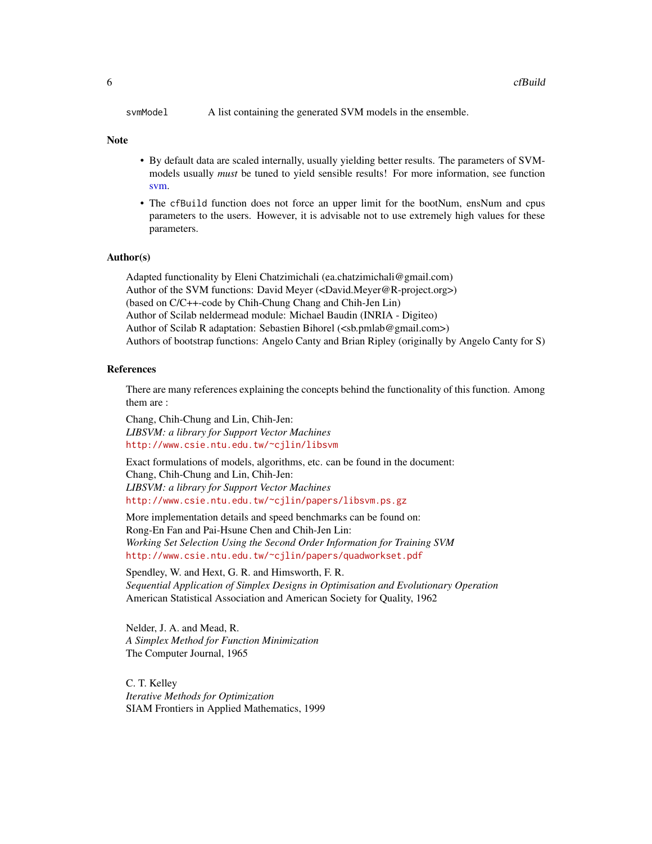<span id="page-5-0"></span>svmModel A list containing the generated SVM models in the ensemble.

#### Note

- By default data are scaled internally, usually yielding better results. The parameters of SVMmodels usually *must* be tuned to yield sensible results! For more information, see function [svm.](#page-0-0)
- The cfBuild function does not force an upper limit for the bootNum, ensNum and cpus parameters to the users. However, it is advisable not to use extremely high values for these parameters.

# Author(s)

Adapted functionality by Eleni Chatzimichali (ea.chatzimichali@gmail.com) Author of the SVM functions: David Meyer (<David.Meyer@R-project.org>) (based on C/C++-code by Chih-Chung Chang and Chih-Jen Lin) Author of Scilab neldermead module: Michael Baudin (INRIA - Digiteo) Author of Scilab R adaptation: Sebastien Bihorel (<sb.pmlab@gmail.com>) Authors of bootstrap functions: Angelo Canty and Brian Ripley (originally by Angelo Canty for S)

# References

There are many references explaining the concepts behind the functionality of this function. Among them are :

Chang, Chih-Chung and Lin, Chih-Jen: *LIBSVM: a library for Support Vector Machines* <http://www.csie.ntu.edu.tw/~cjlin/libsvm>

Exact formulations of models, algorithms, etc. can be found in the document: Chang, Chih-Chung and Lin, Chih-Jen: *LIBSVM: a library for Support Vector Machines* <http://www.csie.ntu.edu.tw/~cjlin/papers/libsvm.ps.gz>

More implementation details and speed benchmarks can be found on: Rong-En Fan and Pai-Hsune Chen and Chih-Jen Lin: *Working Set Selection Using the Second Order Information for Training SVM* <http://www.csie.ntu.edu.tw/~cjlin/papers/quadworkset.pdf>

Spendley, W. and Hext, G. R. and Himsworth, F. R. *Sequential Application of Simplex Designs in Optimisation and Evolutionary Operation* American Statistical Association and American Society for Quality, 1962

Nelder, J. A. and Mead, R. *A Simplex Method for Function Minimization* The Computer Journal, 1965

C. T. Kelley *Iterative Methods for Optimization* SIAM Frontiers in Applied Mathematics, 1999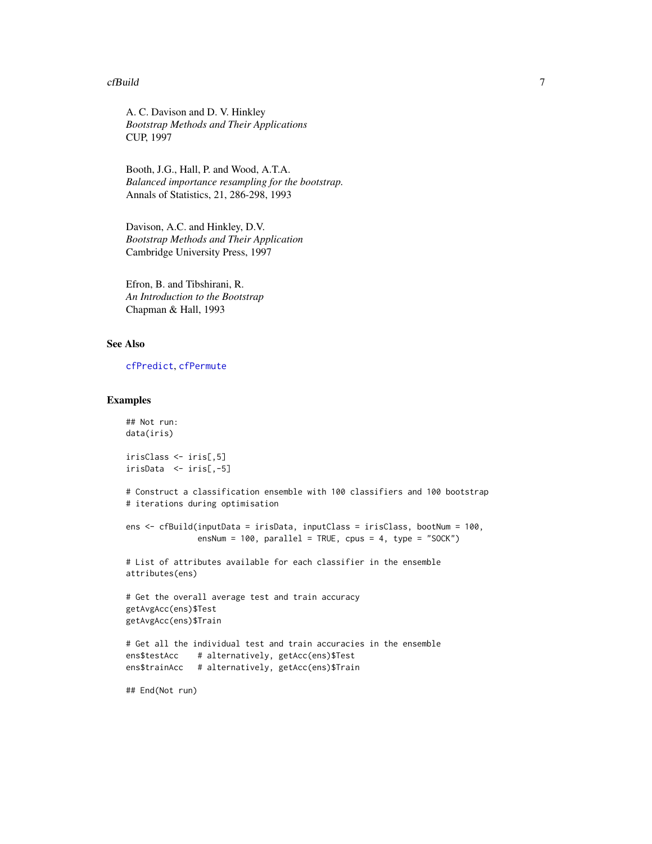#### <span id="page-6-0"></span>cfBuild **7**

A. C. Davison and D. V. Hinkley *Bootstrap Methods and Their Applications* CUP, 1997

Booth, J.G., Hall, P. and Wood, A.T.A. *Balanced importance resampling for the bootstrap.* Annals of Statistics, 21, 286-298, 1993

Davison, A.C. and Hinkley, D.V. *Bootstrap Methods and Their Application* Cambridge University Press, 1997

Efron, B. and Tibshirani, R. *An Introduction to the Bootstrap* Chapman & Hall, 1993

# See Also

[cfPredict](#page-9-1), [cfPermute](#page-7-1)

```
## Not run:
data(iris)
irisClass <- iris[,5]
irisData <- iris[,-5]
# Construct a classification ensemble with 100 classifiers and 100 bootstrap
# iterations during optimisation
ens <- cfBuild(inputData = irisData, inputClass = irisClass, bootNum = 100,
               ensNum = 100, parallel = TRUE, cpus = 4, type = "SOCK")
# List of attributes available for each classifier in the ensemble
attributes(ens)
# Get the overall average test and train accuracy
getAvgAcc(ens)$Test
getAvgAcc(ens)$Train
# Get all the individual test and train accuracies in the ensemble
ens$testAcc # alternatively, getAcc(ens)$Test
ens$trainAcc # alternatively, getAcc(ens)$Train
## End(Not run)
```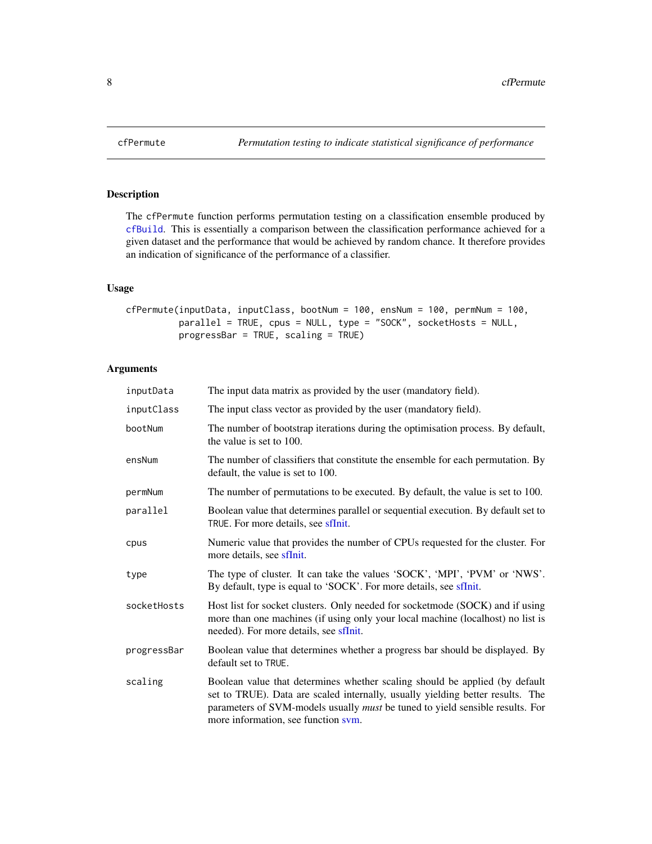The cfPermute function performs permutation testing on a classification ensemble produced by [cfBuild](#page-3-1). This is essentially a comparison between the classification performance achieved for a given dataset and the performance that would be achieved by random chance. It therefore provides an indication of significance of the performance of a classifier.

# Usage

```
cfPermute(inputData, inputClass, bootNum = 100, ensNum = 100, permNum = 100,
         parallel = TRUE, cpus = NULL, type = "SOCK", socketHosts = NULL,
         progressBar = TRUE, scaling = TRUE)
```
# Arguments

| inputData   | The input data matrix as provided by the user (mandatory field).                                                                                                                                                                                                                             |
|-------------|----------------------------------------------------------------------------------------------------------------------------------------------------------------------------------------------------------------------------------------------------------------------------------------------|
| inputClass  | The input class vector as provided by the user (mandatory field).                                                                                                                                                                                                                            |
| bootNum     | The number of bootstrap iterations during the optimisation process. By default,<br>the value is set to 100.                                                                                                                                                                                  |
| ensNum      | The number of classifiers that constitute the ensemble for each permutation. By<br>default, the value is set to 100.                                                                                                                                                                         |
| permNum     | The number of permutations to be executed. By default, the value is set to 100.                                                                                                                                                                                                              |
| parallel    | Boolean value that determines parallel or sequential execution. By default set to<br>TRUE. For more details, see sfInit.                                                                                                                                                                     |
| cpus        | Numeric value that provides the number of CPUs requested for the cluster. For<br>more details, see sfInit.                                                                                                                                                                                   |
| type        | The type of cluster. It can take the values 'SOCK', 'MPI', 'PVM' or 'NWS'.<br>By default, type is equal to 'SOCK'. For more details, see sflnit.                                                                                                                                             |
| socketHosts | Host list for socket clusters. Only needed for socket mode (SOCK) and if using<br>more than one machines (if using only your local machine (localhost) no list is<br>needed). For more details, see sfInit.                                                                                  |
| progressBar | Boolean value that determines whether a progress bar should be displayed. By<br>default set to TRUE.                                                                                                                                                                                         |
| scaling     | Boolean value that determines whether scaling should be applied (by default<br>set to TRUE). Data are scaled internally, usually yielding better results. The<br>parameters of SVM-models usually <i>must</i> be tuned to yield sensible results. For<br>more information, see function sym. |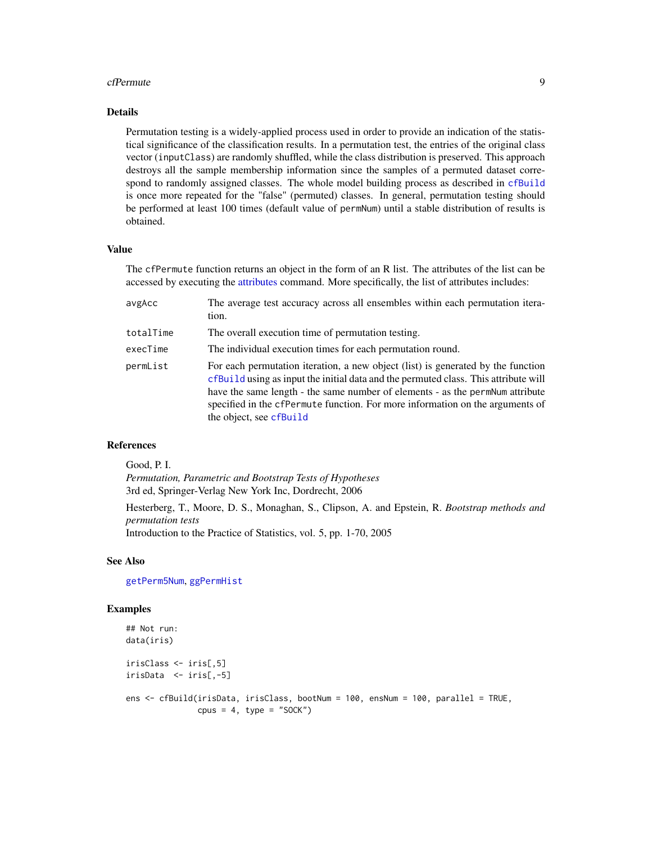#### <span id="page-8-0"></span>cfPermute 99

#### Details

Permutation testing is a widely-applied process used in order to provide an indication of the statistical significance of the classification results. In a permutation test, the entries of the original class vector (inputClass) are randomly shuffled, while the class distribution is preserved. This approach destroys all the sample membership information since the samples of a permuted dataset correspond to randomly assigned classes. The whole model building process as described in [cfBuild](#page-3-1) is once more repeated for the "false" (permuted) classes. In general, permutation testing should be performed at least 100 times (default value of permNum) until a stable distribution of results is obtained.

# Value

The cfPermute function returns an object in the form of an R list. The attributes of the list can be accessed by executing the [attributes](#page-0-0) command. More specifically, the list of attributes includes:

| avgAcc    | The average test accuracy across all ensembles within each permutation itera-<br>tion.                                                                                                                                                                                                                                                                               |
|-----------|----------------------------------------------------------------------------------------------------------------------------------------------------------------------------------------------------------------------------------------------------------------------------------------------------------------------------------------------------------------------|
| totalTime | The overall execution time of permutation testing.                                                                                                                                                                                                                                                                                                                   |
| execTime  | The individual execution times for each permutation round.                                                                                                                                                                                                                                                                                                           |
| permList  | For each permutation iteration, a new object (list) is generated by the function<br>cfBuild using as input the initial data and the permuted class. This attribute will<br>have the same length - the same number of elements - as the permNum attribute<br>specified in the cfPermute function. For more information on the arguments of<br>the object, see cfBuild |

# References

Good, P. I. *Permutation, Parametric and Bootstrap Tests of Hypotheses* 3rd ed, Springer-Verlag New York Inc, Dordrecht, 2006

Hesterberg, T., Moore, D. S., Monaghan, S., Clipson, A. and Epstein, R. *Bootstrap methods and permutation tests*

Introduction to the Practice of Statistics, vol. 5, pp. 1-70, 2005

# See Also

[getPerm5Num](#page-15-1), [ggPermHist](#page-20-1)

```
## Not run:
data(iris)
irisClass <- iris[,5]
irisData <- iris[,-5]
ens <- cfBuild(irisData, irisClass, bootNum = 100, ensNum = 100, parallel = TRUE,
               cpus = 4, type = "SOCK")
```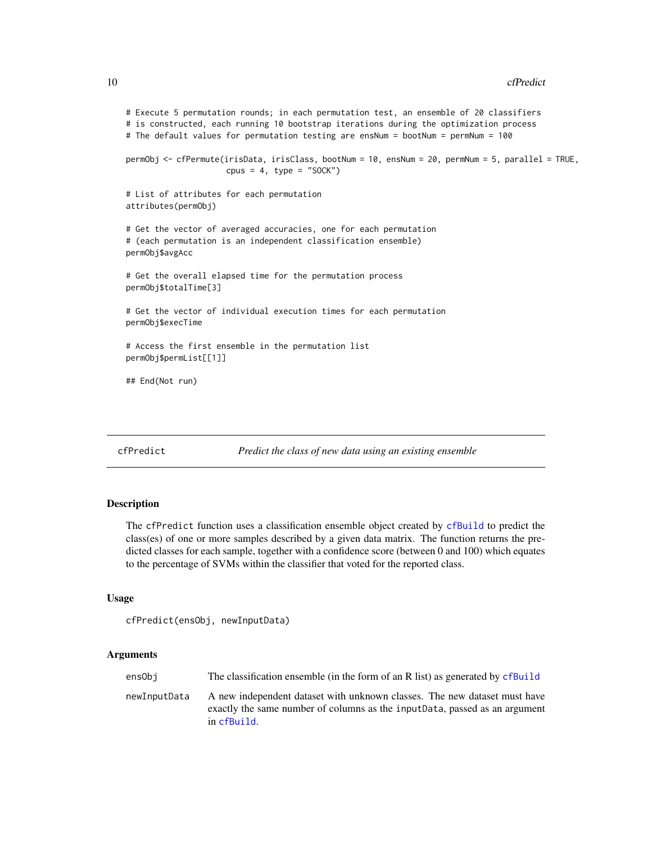```
# Execute 5 permutation rounds; in each permutation test, an ensemble of 20 classifiers
# is constructed, each running 10 bootstrap iterations during the optimization process
# The default values for permutation testing are ensNum = bootNum = permNum = 100
permObj <- cfPermute(irisData, irisClass, bootNum = 10, ensNum = 20, permNum = 5, parallel = TRUE,
                     cpus = 4, type = "SOCK")
# List of attributes for each permutation
attributes(permObj)
# Get the vector of averaged accuracies, one for each permutation
# (each permutation is an independent classification ensemble)
permObj$avgAcc
# Get the overall elapsed time for the permutation process
permObj$totalTime[3]
# Get the vector of individual execution times for each permutation
permObj$execTime
# Access the first ensemble in the permutation list
permObj$permList[[1]]
## End(Not run)
```
<span id="page-9-1"></span>cfPredict *Predict the class of new data using an existing ensemble*

# Description

The cfPredict function uses a classification ensemble object created by [cfBuild](#page-3-1) to predict the class(es) of one or more samples described by a given data matrix. The function returns the predicted classes for each sample, together with a confidence score (between 0 and 100) which equates to the percentage of SVMs within the classifier that voted for the reported class.

#### Usage

```
cfPredict(ensObj, newInputData)
```
#### Arguments

| ensObi       | The classification ensemble (in the form of an R list) as generated by cfBuild                                                                                          |
|--------------|-------------------------------------------------------------------------------------------------------------------------------------------------------------------------|
| newInputData | A new independent dataset with unknown classes. The new dataset must have<br>exactly the same number of columns as the input Data, passed as an argument<br>in cfBuild. |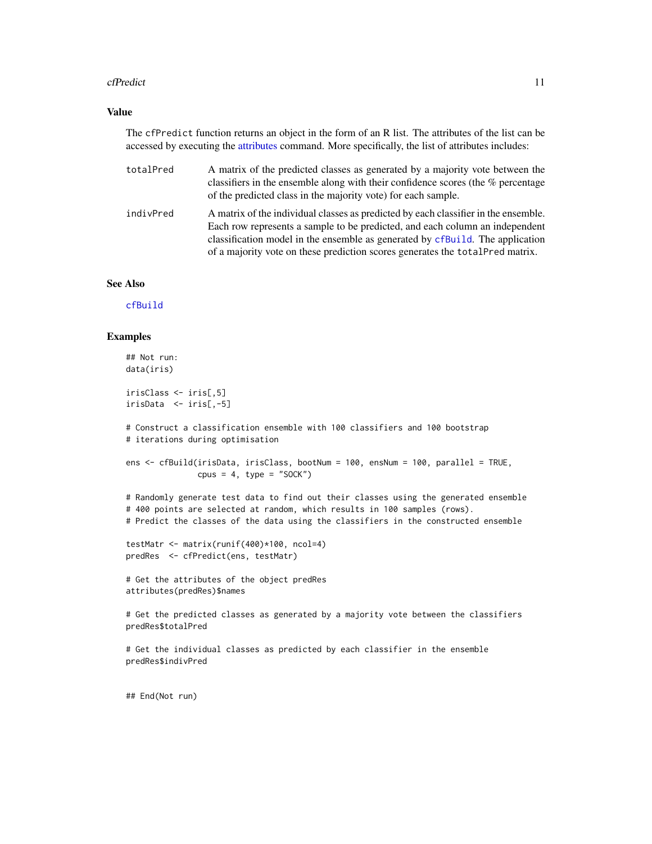#### <span id="page-10-0"></span>cfPredict 21 and 22 and 22 and 23 and 23 and 23 and 23 and 24 and 25 and 26 and 26 and 26 and 26 and 26 and 26

## Value

The cfPredict function returns an object in the form of an R list. The attributes of the list can be accessed by executing the [attributes](#page-0-0) command. More specifically, the list of attributes includes:

- totalPred A matrix of the predicted classes as generated by a majority vote between the classifiers in the ensemble along with their confidence scores (the % percentage of the predicted class in the majority vote) for each sample.
- indivPred A matrix of the individual classes as predicted by each classifier in the ensemble. Each row represents a sample to be predicted, and each column an independent classification model in the ensemble as generated by [cfBuild](#page-3-1). The application of a majority vote on these prediction scores generates the totalPred matrix.

#### See Also

[cfBuild](#page-3-1)

#### Examples

```
## Not run:
data(iris)
irisClass <- iris[,5]
irisData <- iris[,-5]
# Construct a classification ensemble with 100 classifiers and 100 bootstrap
# iterations during optimisation
ens <- cfBuild(irisData, irisClass, bootNum = 100, ensNum = 100, parallel = TRUE,
              cpus = 4, type = "SOCK")
# Randomly generate test data to find out their classes using the generated ensemble
# 400 points are selected at random, which results in 100 samples (rows).
# Predict the classes of the data using the classifiers in the constructed ensemble
testMatr <- matrix(runif(400)*100, ncol=4)
predRes <- cfPredict(ens, testMatr)
# Get the attributes of the object predRes
attributes(predRes)$names
# Get the predicted classes as generated by a majority vote between the classifiers
predRes$totalPred
# Get the individual classes as predicted by each classifier in the ensemble
predRes$indivPred
```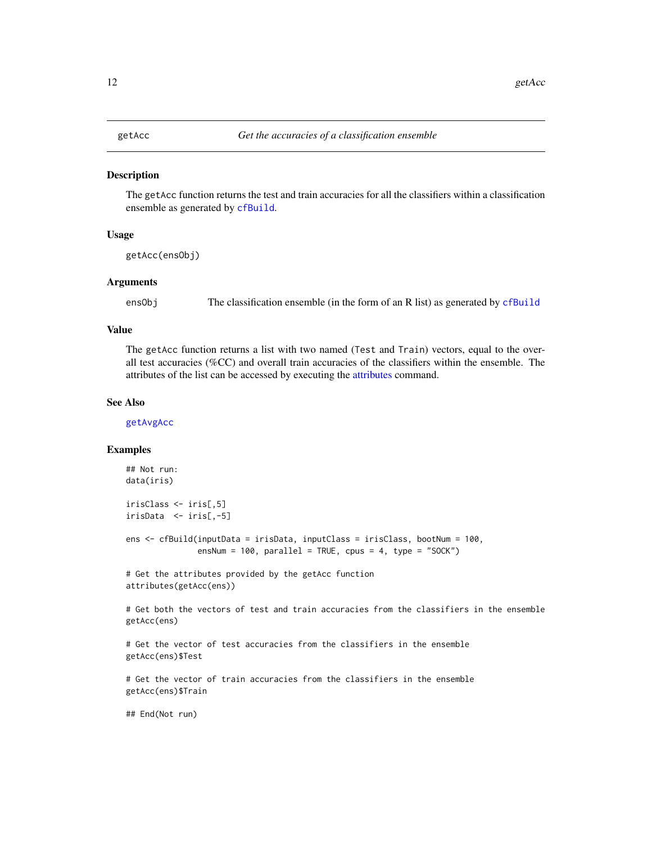<span id="page-11-1"></span><span id="page-11-0"></span>

The getAcc function returns the test and train accuracies for all the classifiers within a classification ensemble as generated by [cfBuild](#page-3-1).

# Usage

getAcc(ensObj)

#### Arguments

ensObj The classification ensemble (in the form of an R list) as generated by [cfBuild](#page-3-1)

# Value

The getAcc function returns a list with two named (Test and Train) vectors, equal to the overall test accuracies (%CC) and overall train accuracies of the classifiers within the ensemble. The attributes of the list can be accessed by executing the [attributes](#page-0-0) command.

#### See Also

[getAvgAcc](#page-12-1)

#### Examples

```
## Not run:
data(iris)
irisClass <- iris[,5]
irisData <- iris[,-5]
ens <- cfBuild(inputData = irisData, inputClass = irisClass, bootNum = 100,
               ensNum = 100, parallel = TRUE, cpus = 4, type = "SOCK")
# Get the attributes provided by the getAcc function
attributes(getAcc(ens))
# Get both the vectors of test and train accuracies from the classifiers in the ensemble
getAcc(ens)
# Get the vector of test accuracies from the classifiers in the ensemble
getAcc(ens)$Test
```
# Get the vector of train accuracies from the classifiers in the ensemble getAcc(ens)\$Train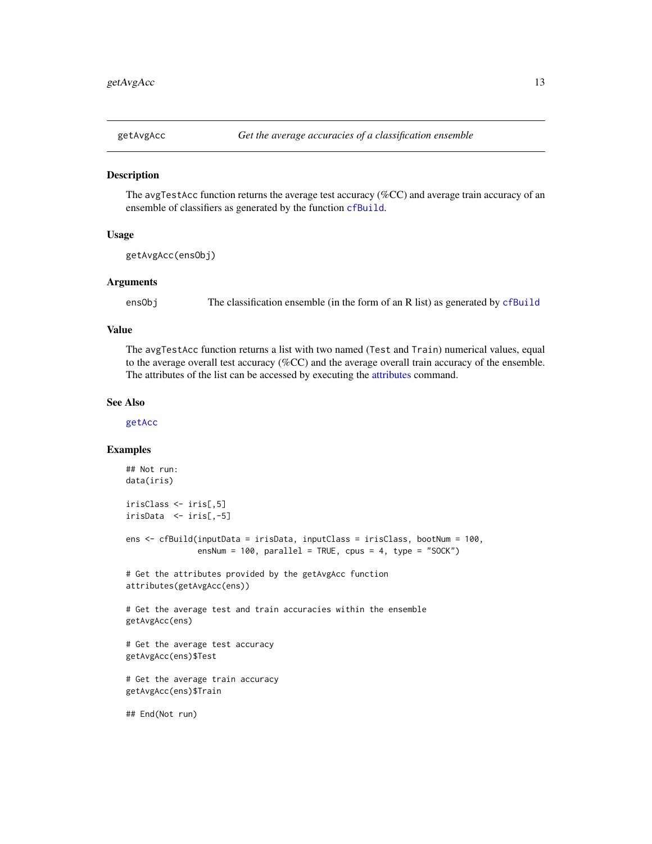<span id="page-12-1"></span><span id="page-12-0"></span>

The avgTestAcc function returns the average test accuracy (%CC) and average train accuracy of an ensemble of classifiers as generated by the function [cfBuild](#page-3-1).

# Usage

```
getAvgAcc(ensObj)
```
#### Arguments

ensObj The classification ensemble (in the form of an R list) as generated by [cfBuild](#page-3-1)

# Value

The avgTestAcc function returns a list with two named (Test and Train) numerical values, equal to the average overall test accuracy (%CC) and the average overall train accuracy of the ensemble. The attributes of the list can be accessed by executing the [attributes](#page-0-0) command.

#### See Also

[getAcc](#page-11-1)

```
## Not run:
data(iris)
irisClass <- iris[,5]
irisData <- iris[,-5]
ens <- cfBuild(inputData = irisData, inputClass = irisClass, bootNum = 100,
               ensNum = 100, parallel = TRUE, cpus = 4, type = "SOCK")
# Get the attributes provided by the getAvgAcc function
attributes(getAvgAcc(ens))
# Get the average test and train accuracies within the ensemble
getAvgAcc(ens)
# Get the average test accuracy
getAvgAcc(ens)$Test
# Get the average train accuracy
getAvgAcc(ens)$Train
```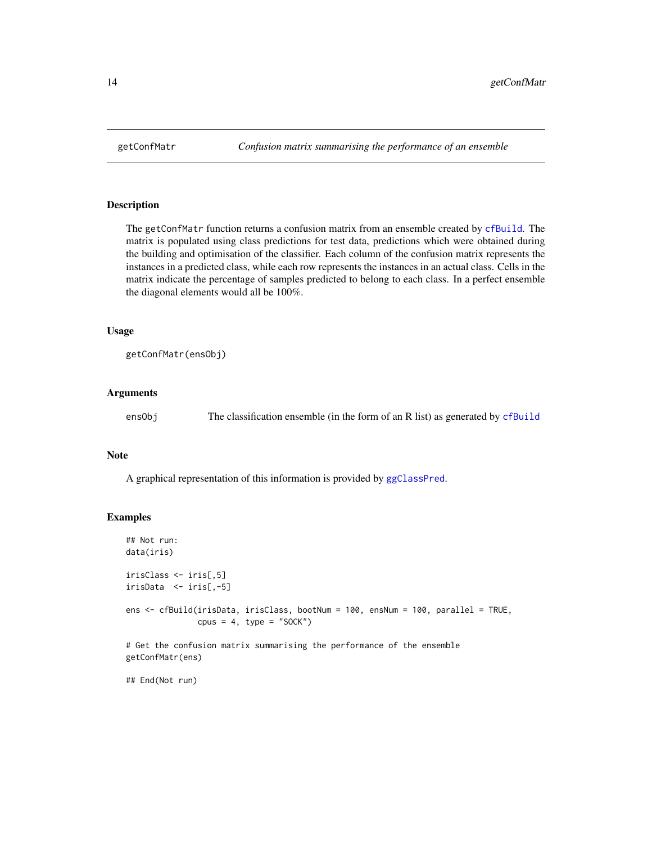<span id="page-13-0"></span>

The getConfMatr function returns a confusion matrix from an ensemble created by [cfBuild](#page-3-1). The matrix is populated using class predictions for test data, predictions which were obtained during the building and optimisation of the classifier. Each column of the confusion matrix represents the instances in a predicted class, while each row represents the instances in an actual class. Cells in the matrix indicate the percentage of samples predicted to belong to each class. In a perfect ensemble the diagonal elements would all be 100%.

#### Usage

getConfMatr(ensObj)

### Arguments

| ensObj | The classification ensemble (in the form of an R list) as generated by cfBuild |  |  |
|--------|--------------------------------------------------------------------------------|--|--|
|        |                                                                                |  |  |

#### Note

A graphical representation of this information is provided by [ggClassPred](#page-16-1).

#### Examples

```
## Not run:
data(iris)
irisClass <- iris[,5]
irisData <- iris[,-5]
ens <- cfBuild(irisData, irisClass, bootNum = 100, ensNum = 100, parallel = TRUE,
               cpus = 4, type = "SOCK")
# Get the confusion matrix summarising the performance of the ensemble
getConfMatr(ens)
```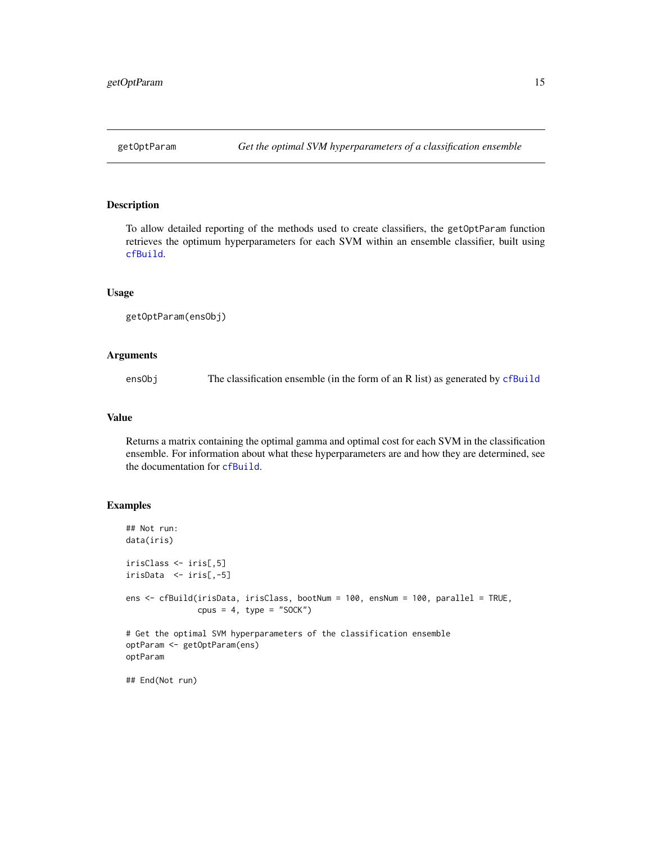<span id="page-14-0"></span>

To allow detailed reporting of the methods used to create classifiers, the getOptParam function retrieves the optimum hyperparameters for each SVM within an ensemble classifier, built using [cfBuild](#page-3-1).

# Usage

```
getOptParam(ensObj)
```
# Arguments

ensObj The classification ensemble (in the form of an R list) as generated by [cfBuild](#page-3-1)

### Value

Returns a matrix containing the optimal gamma and optimal cost for each SVM in the classification ensemble. For information about what these hyperparameters are and how they are determined, see the documentation for [cfBuild](#page-3-1).

```
## Not run:
data(iris)
irisClass <- iris[,5]
irisData <- iris[,-5]
ens <- cfBuild(irisData, irisClass, bootNum = 100, ensNum = 100, parallel = TRUE,
              cpus = 4, type = "SOCK")
# Get the optimal SVM hyperparameters of the classification ensemble
optParam <- getOptParam(ens)
optParam
## End(Not run)
```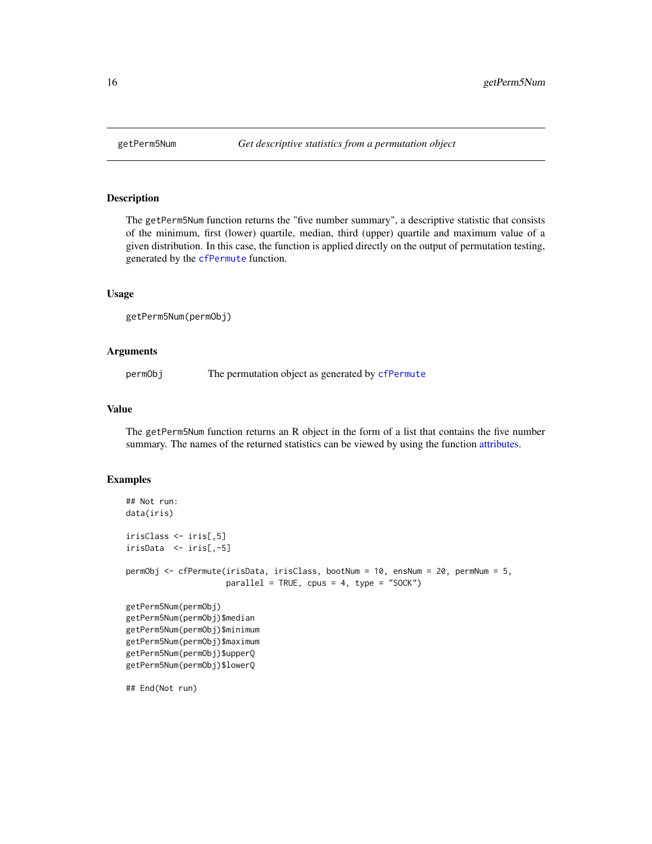<span id="page-15-1"></span><span id="page-15-0"></span>

The getPerm5Num function returns the "five number summary", a descriptive statistic that consists of the minimum, first (lower) quartile, median, third (upper) quartile and maximum value of a given distribution. In this case, the function is applied directly on the output of permutation testing, generated by the [cfPermute](#page-7-1) function.

#### Usage

getPerm5Num(permObj)

### Arguments

permObj The permutation object as generated by [cfPermute](#page-7-1)

Value

The getPerm5Num function returns an R object in the form of a list that contains the five number summary. The names of the returned statistics can be viewed by using the function [attributes.](#page-0-0)

#### Examples

```
## Not run:
data(iris)
irisClass <- iris[,5]
irisData <- iris[,-5]
permObj <- cfPermute(irisData, irisClass, bootNum = 10, ensNum = 20, permNum = 5,
                     parallel = TRUE, cpus = 4, type = "SOCK")getPerm5Num(permObj)
getPerm5Num(permObj)$median
getPerm5Num(permObj)$minimum
getPerm5Num(permObj)$maximum
getPerm5Num(permObj)$upperQ
getPerm5Num(permObj)$lowerQ
```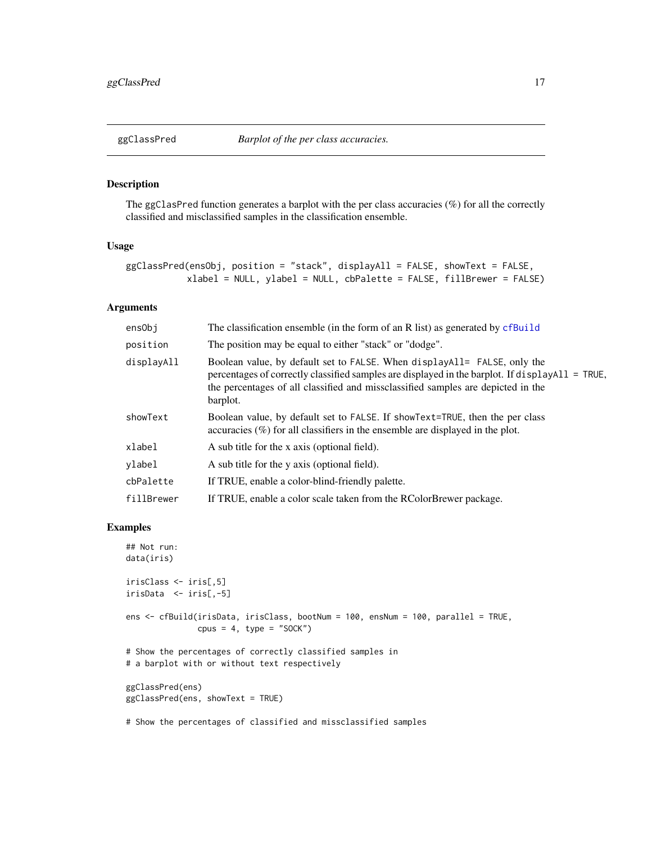<span id="page-16-1"></span><span id="page-16-0"></span>

The ggClasPred function generates a barplot with the per class accuracies (%) for all the correctly classified and misclassified samples in the classification ensemble.

# Usage

```
ggClassPred(ensObj, position = "stack", displayAll = FALSE, showText = FALSE,
           xlabel = NULL, ylabel = NULL, cbPalette = FALSE, fillBrewer = FALSE)
```
# Arguments

| ensObj     | The classification ensemble (in the form of an R list) as generated by cfBuild                                                                                                                                                                                              |
|------------|-----------------------------------------------------------------------------------------------------------------------------------------------------------------------------------------------------------------------------------------------------------------------------|
| position   | The position may be equal to either "stack" or "dodge".                                                                                                                                                                                                                     |
| displayAll | Boolean value, by default set to FALSE. When displayAll= FALSE, only the<br>percentages of correctly classified samples are displayed in the barplot. If displayAll = TRUE,<br>the percentages of all classified and missclassified samples are depicted in the<br>barplot. |
| showText   | Boolean value, by default set to FALSE. If show Text=TRUE, then the per class<br>accuracies $(\%)$ for all classifiers in the ensemble are displayed in the plot.                                                                                                           |
| xlabel     | A sub title for the x axis (optional field).                                                                                                                                                                                                                                |
| ylabel     | A sub title for the y axis (optional field).                                                                                                                                                                                                                                |
| cbPalette  | If TRUE, enable a color-blind-friendly palette.                                                                                                                                                                                                                             |
| fillBrewer | If TRUE, enable a color scale taken from the RColorBrewer package.                                                                                                                                                                                                          |

```
## Not run:
data(iris)
irisClass <- iris[,5]
irisData <- iris[,-5]
ens <- cfBuild(irisData, irisClass, bootNum = 100, ensNum = 100, parallel = TRUE,
               cpus = 4, type = "SOCK")
# Show the percentages of correctly classified samples in
# a barplot with or without text respectively
ggClassPred(ens)
ggClassPred(ens, showText = TRUE)
# Show the percentages of classified and missclassified samples
```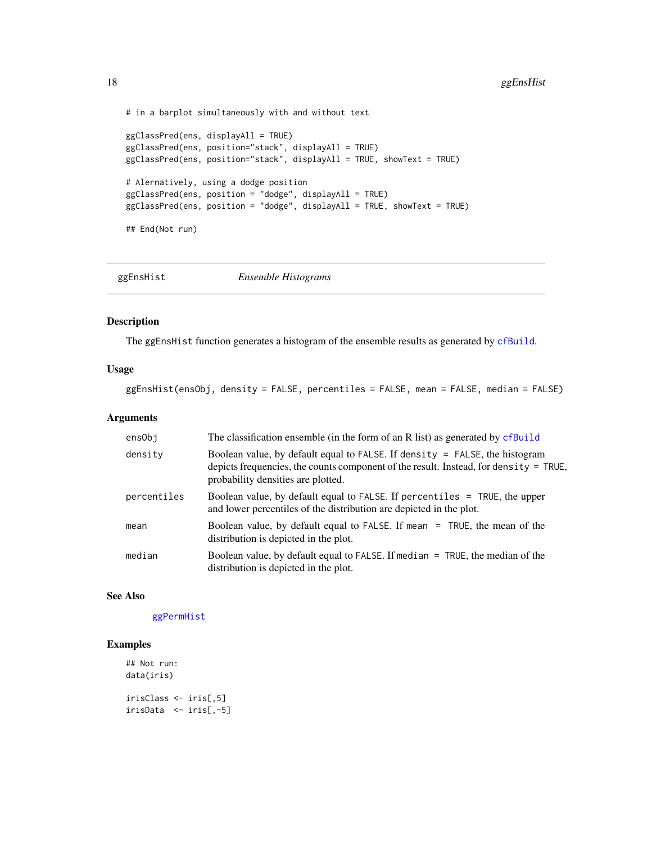```
# in a barplot simultaneously with and without text
ggClassPred(ens, displayAll = TRUE)
ggClassPred(ens, position="stack", displayAll = TRUE)
ggClassPred(ens, position="stack", displayAll = TRUE, showText = TRUE)
# Alernatively, using a dodge position
ggClassPred(ens, position = "dodge", displayAll = TRUE)
ggClassPred(ens, position = "dodge", displayAll = TRUE, showText = TRUE)
## End(Not run)
```
ggEnsHist *Ensemble Histograms*

### Description

The ggEnsHist function generates a histogram of the ensemble results as generated by [cfBuild](#page-3-1).

# Usage

ggEnsHist(ensObj, density = FALSE, percentiles = FALSE, mean = FALSE, median = FALSE)

### Arguments

| ensObj      | The classification ensemble (in the form of an R list) as generated by cfBuild                                                                                                                               |
|-------------|--------------------------------------------------------------------------------------------------------------------------------------------------------------------------------------------------------------|
| density     | Boolean value, by default equal to FALSE. If density = FALSE, the histogram<br>depicts frequencies, the counts component of the result. Instead, for density $=$ TRUE,<br>probability densities are plotted. |
| percentiles | Boolean value, by default equal to FALSE. If percentiles = TRUE, the upper<br>and lower percentiles of the distribution are depicted in the plot.                                                            |
| mean        | Boolean value, by default equal to FALSE. If mean = TRUE, the mean of the<br>distribution is depicted in the plot.                                                                                           |
| median      | Boolean value, by default equal to FALSE. If median $=$ TRUE, the median of the<br>distribution is depicted in the plot.                                                                                     |

#### See Also

[ggPermHist](#page-20-1)

```
## Not run:
data(iris)
irisClass <- iris[,5]
irisData <- iris[,-5]
```
<span id="page-17-0"></span>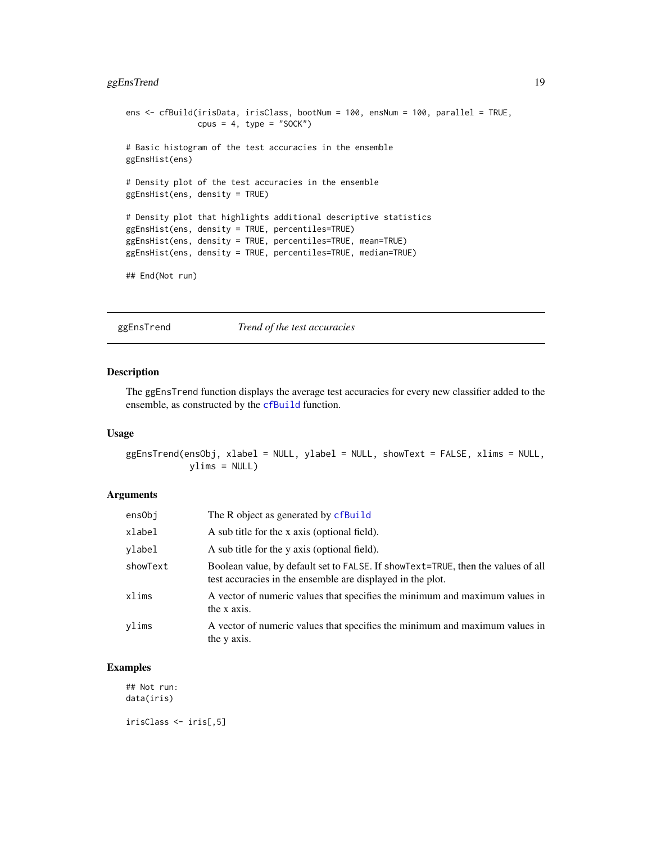# <span id="page-18-0"></span>ggEnsTrend 19

```
ens <- cfBuild(irisData, irisClass, bootNum = 100, ensNum = 100, parallel = TRUE,
              cpus = 4, type = "SOCK")
# Basic histogram of the test accuracies in the ensemble
ggEnsHist(ens)
# Density plot of the test accuracies in the ensemble
ggEnsHist(ens, density = TRUE)
# Density plot that highlights additional descriptive statistics
ggEnsHist(ens, density = TRUE, percentiles=TRUE)
ggEnsHist(ens, density = TRUE, percentiles=TRUE, mean=TRUE)
ggEnsHist(ens, density = TRUE, percentiles=TRUE, median=TRUE)
## End(Not run)
```
ggEnsTrend *Trend of the test accuracies*

# Description

The ggEnsTrend function displays the average test accuracies for every new classifier added to the ensemble, as constructed by the [cfBuild](#page-3-1) function.

# Usage

ggEnsTrend(ensObj, xlabel = NULL, ylabel = NULL, showText = FALSE, xlims = NULL, ylims = NULL)

### Arguments

| ensObi   | The R object as generated by cfBuild                                                                                                           |
|----------|------------------------------------------------------------------------------------------------------------------------------------------------|
| xlabel   | A sub title for the x axis (optional field).                                                                                                   |
| ylabel   | A sub title for the y axis (optional field).                                                                                                   |
| showText | Boolean value, by default set to FALSE. If showText=TRUE, then the values of all<br>test accuracies in the ensemble are displayed in the plot. |
| xlims    | A vector of numeric values that specifies the minimum and maximum values in<br>the x axis.                                                     |
| vlims    | A vector of numeric values that specifies the minimum and maximum values in<br>the y axis.                                                     |

# Examples

## Not run: data(iris)

irisClass <- iris[,5]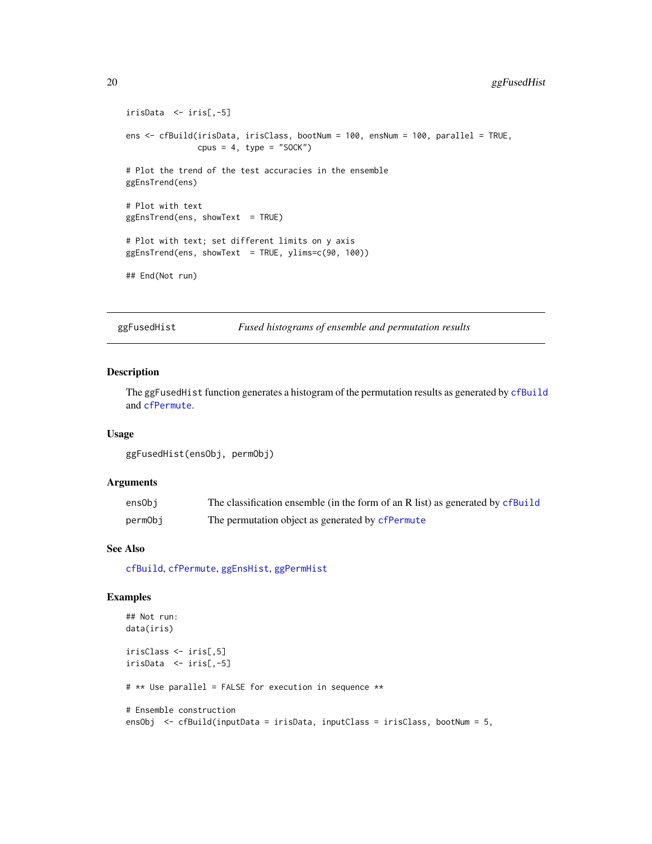```
irisData <- iris[,-5]
ens <- cfBuild(irisData, irisClass, bootNum = 100, ensNum = 100, parallel = TRUE,
              cpus = 4, type = "SOCK")
# Plot the trend of the test accuracies in the ensemble
ggEnsTrend(ens)
# Plot with text
ggEnsTrend(ens, showText = TRUE)
# Plot with text; set different limits on y axis
ggEnsTrend(ens, showText = TRUE, ylims=c(90, 100))
## End(Not run)
```
ggFusedHist *Fused histograms of ensemble and permutation results*

# Description

The ggFusedHist function generates a histogram of the permutation results as generated by [cfBuild](#page-3-1) and [cfPermute](#page-7-1).

# Usage

```
ggFusedHist(ensObj, permObj)
```
#### Arguments

| ensObi  | The classification ensemble (in the form of an R list) as generated by cfBuild |
|---------|--------------------------------------------------------------------------------|
| permObj | The permutation object as generated by cfPermute                               |

# See Also

[cfBuild](#page-3-1), [cfPermute](#page-7-1), [ggEnsHist](#page-17-1), [ggPermHist](#page-20-1)

```
## Not run:
data(iris)
irisClass <- iris[,5]
irisData <- iris[,-5]
# ** Use parallel = FALSE for execution in sequence **
# Ensemble construction
ensObj <- cfBuild(inputData = irisData, inputClass = irisClass, bootNum = 5,
```
<span id="page-19-0"></span>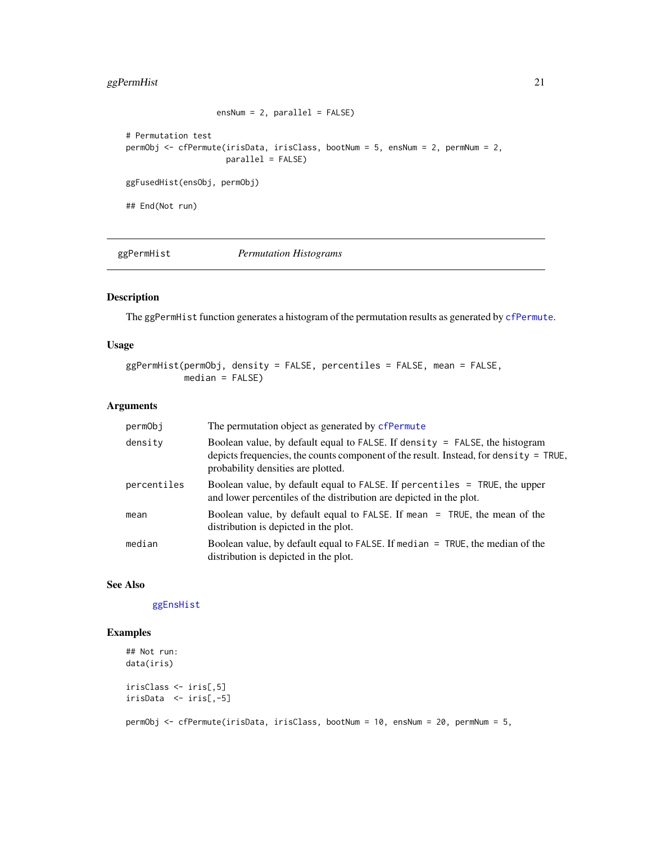# <span id="page-20-0"></span>ggPermHist 21

```
ensNum = 2, parallel = FALSE)
# Permutation test
permObj <- cfPermute(irisData, irisClass, bootNum = 5, ensNum = 2, permNum = 2,
                     parallel = FALSE)
ggFusedHist(ensObj, permObj)
## End(Not run)
```
<span id="page-20-1"></span>ggPermHist *Permutation Histograms*

# Description

The ggPermHist function generates a histogram of the permutation results as generated by [cfPermute](#page-7-1).

# Usage

```
ggPermHist(permObj, density = FALSE, percentiles = FALSE, mean = FALSE,
          median = FALSE)
```
# Arguments

| permObj     | The permutation object as generated by cfPermute                                                                                                                                                           |
|-------------|------------------------------------------------------------------------------------------------------------------------------------------------------------------------------------------------------------|
| density     | Boolean value, by default equal to FALSE. If density = FALSE, the histogram<br>depicts frequencies, the counts component of the result. Instead, for density = TRUE,<br>probability densities are plotted. |
| percentiles | Boolean value, by default equal to FALSE. If percentiles = TRUE, the upper<br>and lower percentiles of the distribution are depicted in the plot.                                                          |
| mean        | Boolean value, by default equal to FALSE. If mean = TRUE, the mean of the<br>distribution is depicted in the plot.                                                                                         |
| median      | Boolean value, by default equal to FALSE. If median $=$ TRUE, the median of the<br>distribution is depicted in the plot.                                                                                   |

#### See Also

[ggEnsHist](#page-17-1)

```
## Not run:
data(iris)
irisClass <- iris[,5]
irisData <- iris[,-5]
permObj <- cfPermute(irisData, irisClass, bootNum = 10, ensNum = 20, permNum = 5,
```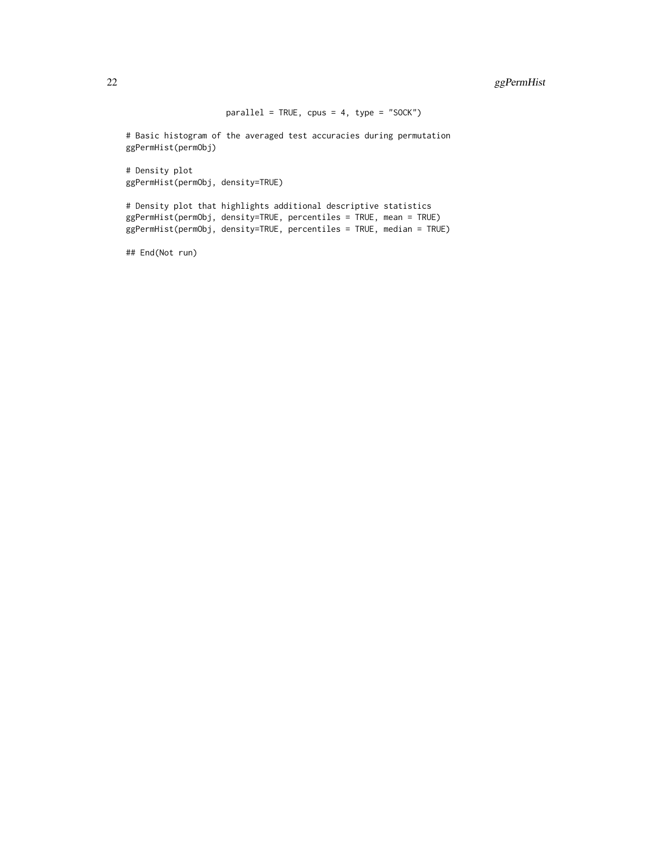$parallel = TRUE$ ,  $cpus = 4$ ,  $type = "SOCK")$ 

# Basic histogram of the averaged test accuracies during permutation ggPermHist(permObj)

# Density plot ggPermHist(permObj, density=TRUE)

# Density plot that highlights additional descriptive statistics ggPermHist(permObj, density=TRUE, percentiles = TRUE, mean = TRUE) ggPermHist(permObj, density=TRUE, percentiles = TRUE, median = TRUE)